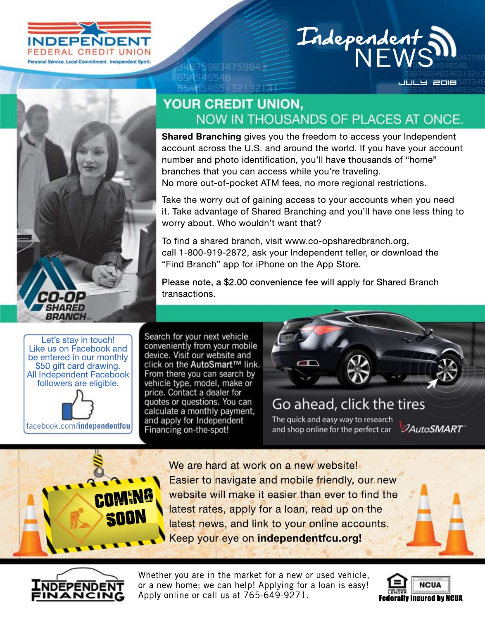



## Independent

July 2018

## YOUR CREDIT UNION, NOW IN THOUSANDS OF PLACES AT ONCE.

**Shared Branching** gives you the freedom to access your Independent account across the U.S. and around the world. If you have your account number and photo identification, you'll have thousands of "home" branches that you can access while you're traveling. No more out-of-pocket ATM fees, no more regional restrictions.

Take the worry out of gaining access to your accounts when you need it. Take advantage of Shared Branching and you'll have one less thing to worry about. Who wouldn't want that?

To find a shared branch, visit www.co-opsharedbranch.org, call 1-800-919-2872, ask your Independent teller, or download the "Find Branch" app for iPhone on the App Store.

Please note, a \$2.00 convenience fee will apply for Shared Branch transactions.

Let's stay in touch! Like us on Facebook and<br>be entered in our monthly \$50 gift card drawing.<br>All Independent Facebook followers are eligible. facebook.com/**independentfcu** Search for your next vehicle conveniently from your mobile device. Visit our website and click on the AutoSmart™ link. From there you can search by vehicle type, model, make or price. Contact a dealer for quotes or questions. You can calculate a monthly payment, and apply for Independent Financing on-the-spot!

48759834759843

65465465132132137

654546546

## Go ahead, click the tires The quick and easy way to research and shop online for the perfect car 2AutoSMART

We are hard at work on a new website! Easier to navigate and mobile friendly, our new website will make it easier than ever to find the latest rates, apply for a loan, read up on the latest news, and link to your online accounts. Keepyoureyeon**independentfcu.org!**



Coming

Soon

Whether you are in the market for a new or used vehicle, or a new home; we can help! Applying for a loan is easy! Apply online or call us at 765-649-9271.